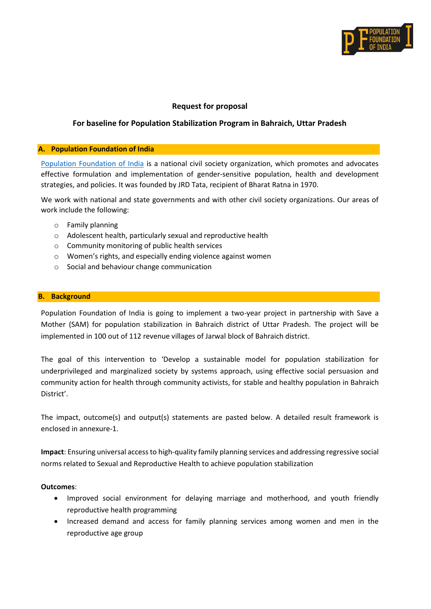

# **Request for proposal**

# **For baseline for Population Stabilization Program in Bahraich, Uttar Pradesh**

#### **A. Population Foundation of India**

[Population Foundation of India](https://populationfoundation.in/) is a national civil society organization, which promotes and advocates effective formulation and implementation of gender-sensitive population, health and development strategies, and policies. It was founded by JRD Tata, recipient of Bharat Ratna in 1970.

We work with national and state governments and with other civil society organizations. Our areas of work include the following:

- o Family planning
- o Adolescent health, particularly sexual and reproductive health
- o Community monitoring of public health services
- o Women's rights, and especially ending violence against women
- o Social and behaviour change communication

#### **B. Background**

Population Foundation of India is going to implement a two-year project in partnership with Save a Mother (SAM) for population stabilization in Bahraich district of Uttar Pradesh. The project will be implemented in 100 out of 112 revenue villages of Jarwal block of Bahraich district.

The goal of this intervention to 'Develop a sustainable model for population stabilization for underprivileged and marginalized society by systems approach, using effective social persuasion and community action for health through community activists, for stable and healthy population in Bahraich District'.

The impact, outcome(s) and output(s) statements are pasted below. A detailed result framework is enclosed in annexure-1.

**Impact**: Ensuring universal access to high-quality family planning services and addressing regressive social norms related to Sexual and Reproductive Health to achieve population stabilization

#### **Outcomes**:

- Improved social environment for delaying marriage and motherhood, and youth friendly reproductive health programming
- Increased demand and access for family planning services among women and men in the reproductive age group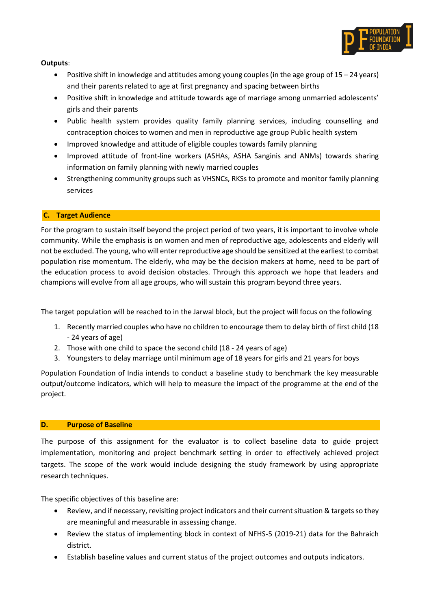

**Outputs**:

- Positive shift in knowledge and attitudes among young couples (in the age group of  $15 24$  years) and their parents related to age at first pregnancy and spacing between births
- Positive shift in knowledge and attitude towards age of marriage among unmarried adolescents' girls and their parents
- Public health system provides quality family planning services, including counselling and contraception choices to women and men in reproductive age group Public health system
- Improved knowledge and attitude of eligible couples towards family planning
- Improved attitude of front-line workers (ASHAs, ASHA Sanginis and ANMs) towards sharing information on family planning with newly married couples
- Strengthening community groups such as VHSNCs, RKSs to promote and monitor family planning services

### **C. Target Audience**

For the program to sustain itself beyond the project period of two years, it is important to involve whole community. While the emphasis is on women and men of reproductive age, adolescents and elderly will not be excluded. The young, who will enter reproductive age should be sensitized at the earliest to combat population rise momentum. The elderly, who may be the decision makers at home, need to be part of the education process to avoid decision obstacles. Through this approach we hope that leaders and champions will evolve from all age groups, who will sustain this program beyond three years.

The target population will be reached to in the Jarwal block, but the project will focus on the following

- 1. Recently married couples who have no children to encourage them to delay birth of first child (18 - 24 years of age)
- 2. Those with one child to space the second child (18 24 years of age)
- 3. Youngsters to delay marriage until minimum age of 18 years for girls and 21 years for boys

Population Foundation of India intends to conduct a baseline study to benchmark the key measurable output/outcome indicators, which will help to measure the impact of the programme at the end of the project.

### **D. Purpose of Baseline**

The purpose of this assignment for the evaluator is to collect baseline data to guide project implementation, monitoring and project benchmark setting in order to effectively achieved project targets. The scope of the work would include designing the study framework by using appropriate research techniques.

The specific objectives of this baseline are:

- Review, and if necessary, revisiting project indicators and their current situation & targets so they are meaningful and measurable in assessing change.
- Review the status of implementing block in context of NFHS-5 (2019-21) data for the Bahraich district.
- Establish baseline values and current status of the project outcomes and outputs indicators.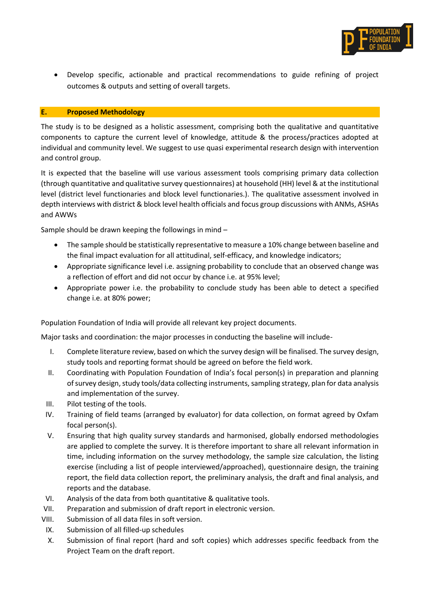

• Develop specific, actionable and practical recommendations to guide refining of project outcomes & outputs and setting of overall targets.

### **E. Proposed Methodology**

The study is to be designed as a holistic assessment, comprising both the qualitative and quantitative components to capture the current level of knowledge, attitude & the process/practices adopted at individual and community level. We suggest to use quasi experimental research design with intervention and control group.

It is expected that the baseline will use various assessment tools comprising primary data collection (through quantitative and qualitative survey questionnaires) at household (HH) level & at the institutional level (district level functionaries and block level functionaries.). The qualitative assessment involved in depth interviews with district & block level health officials and focus group discussions with ANMs, ASHAs and AWWs

Sample should be drawn keeping the followings in mind –

- The sample should be statistically representative to measure a 10% change between baseline and the final impact evaluation for all attitudinal, self-efficacy, and knowledge indicators;
- Appropriate significance level i.e. assigning probability to conclude that an observed change was a reflection of effort and did not occur by chance i.e. at 95% level;
- Appropriate power i.e. the probability to conclude study has been able to detect a specified change i.e. at 80% power;

Population Foundation of India will provide all relevant key project documents.

Major tasks and coordination: the major processes in conducting the baseline will include-

- I. Complete literature review, based on which the survey design will be finalised. The survey design, study tools and reporting format should be agreed on before the field work.
- II. Coordinating with Population Foundation of India's focal person(s) in preparation and planning of survey design, study tools/data collecting instruments, sampling strategy, plan for data analysis and implementation of the survey.
- III. Pilot testing of the tools.
- IV. Training of field teams (arranged by evaluator) for data collection, on format agreed by Oxfam focal person(s).
- V. Ensuring that high quality survey standards and harmonised, globally endorsed methodologies are applied to complete the survey. It is therefore important to share all relevant information in time, including information on the survey methodology, the sample size calculation, the listing exercise (including a list of people interviewed/approached), questionnaire design, the training report, the field data collection report, the preliminary analysis, the draft and final analysis, and reports and the database.
- VI. Analysis of the data from both quantitative & qualitative tools.
- VII. Preparation and submission of draft report in electronic version.
- VIII. Submission of all data files in soft version.
- IX. Submission of all filled-up schedules
- X. Submission of final report (hard and soft copies) which addresses specific feedback from the Project Team on the draft report.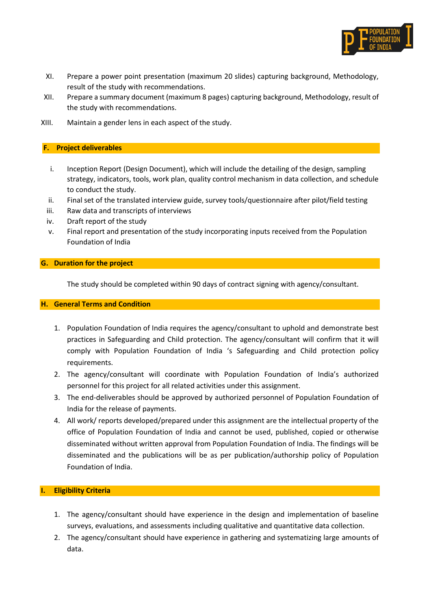

- XI. Prepare a power point presentation (maximum 20 slides) capturing background, Methodology, result of the study with recommendations.
- XII. Prepare a summary document (maximum 8 pages) capturing background, Methodology, result of the study with recommendations.
- XIII. Maintain a gender lens in each aspect of the study.

# **F. Project deliverables**

- i. Inception Report (Design Document), which will include the detailing of the design, sampling strategy, indicators, tools, work plan, quality control mechanism in data collection, and schedule to conduct the study.
- ii. Final set of the translated interview guide, survey tools/questionnaire after pilot/field testing
- iii. Raw data and transcripts of interviews
- iv. Draft report of the study
- v. Final report and presentation of the study incorporating inputs received from the Population Foundation of India

# **G. Duration for the project**

The study should be completed within 90 days of contract signing with agency/consultant.

### **H. General Terms and Condition**

- 1. Population Foundation of India requires the agency/consultant to uphold and demonstrate best practices in Safeguarding and Child protection. The agency/consultant will confirm that it will comply with Population Foundation of India 's Safeguarding and Child protection policy requirements.
- 2. The agency/consultant will coordinate with Population Foundation of India's authorized personnel for this project for all related activities under this assignment.
- 3. The end-deliverables should be approved by authorized personnel of Population Foundation of India for the release of payments.
- 4. All work/ reports developed/prepared under this assignment are the intellectual property of the office of Population Foundation of India and cannot be used, published, copied or otherwise disseminated without written approval from Population Foundation of India. The findings will be disseminated and the publications will be as per publication/authorship policy of Population Foundation of India.

### **I. Eligibility Criteria**

- 1. The agency/consultant should have experience in the design and implementation of baseline surveys, evaluations, and assessments including qualitative and quantitative data collection.
- 2. The agency/consultant should have experience in gathering and systematizing large amounts of data.